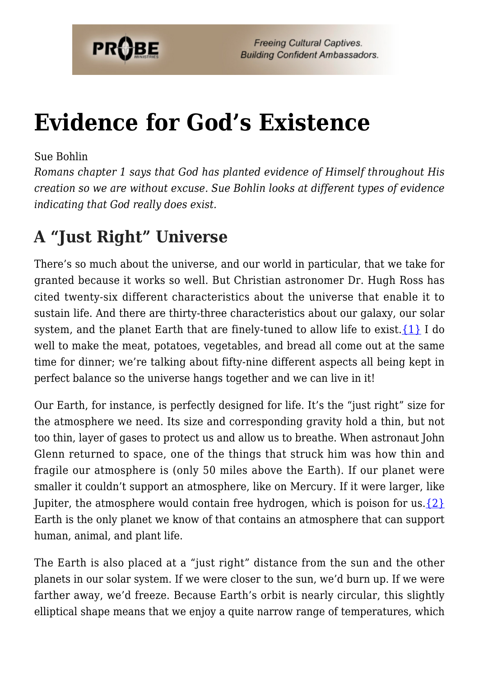

# **[Evidence for God's Existence](https://probe.org/evidence-for-gods-existence/)**

#### Sue Bohlin

*Romans chapter 1 says that God has planted evidence of Himself throughout His creation so we are without excuse. Sue Bohlin looks at different types of evidence indicating that God really does exist.*

# **A "Just Right" Universe**

There's so much about the universe, and our world in particular, that we take for granted because it works so well. But Christian astronomer Dr. Hugh Ross has cited twenty-six different characteristics about the universe that enable it to sustain life. And there are thirty-three characteristics about our galaxy, our solar system, and the planet Earth that are finely-tuned to allow life to exist.  $\{1\}$  I do well to make the meat, potatoes, vegetables, and bread all come out at the same time for dinner; we're talking about fifty-nine different aspects all being kept in perfect balance so the universe hangs together and we can live in it!

Our Earth, for instance, is perfectly designed for life. It's the "just right" size for the atmosphere we need. Its size and corresponding gravity hold a thin, but not too thin, layer of gases to protect us and allow us to breathe. When astronaut John Glenn returned to space, one of the things that struck him was how thin and fragile our atmosphere is (only 50 miles above the Earth). If our planet were smaller it couldn't support an atmosphere, like on Mercury. If it were larger, like Jupiter, the atmosphere would contain free hydrogen, which is poison for us.  $\{2\}$ Earth is the only planet we know of that contains an atmosphere that can support human, animal, and plant life.

The Earth is also placed at a "just right" distance from the sun and the other planets in our solar system. If we were closer to the sun, we'd burn up. If we were farther away, we'd freeze. Because Earth's orbit is nearly circular, this slightly elliptical shape means that we enjoy a quite narrow range of temperatures, which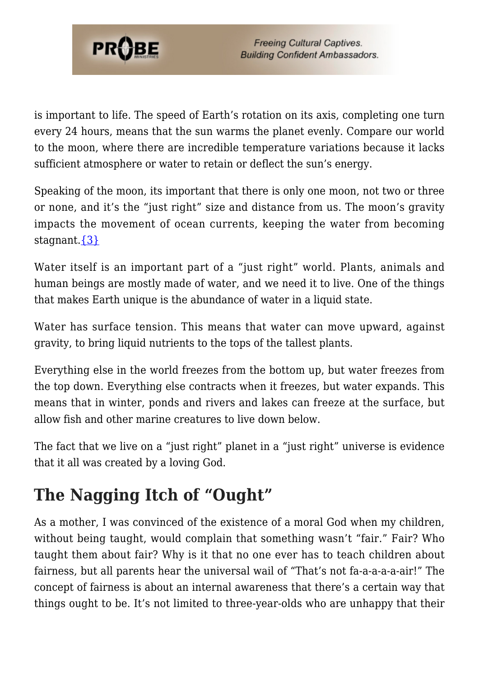

is important to life. The speed of Earth's rotation on its axis, completing one turn every 24 hours, means that the sun warms the planet evenly. Compare our world to the moon, where there are incredible temperature variations because it lacks sufficient atmosphere or water to retain or deflect the sun's energy.

Speaking of the moon, its important that there is only one moon, not two or three or none, and it's the "just right" size and distance from us. The moon's gravity impacts the movement of ocean currents, keeping the water from becoming stagnant[.{3}](#page-8-2)

Water itself is an important part of a "just right" world. Plants, animals and human beings are mostly made of water, and we need it to live. One of the things that makes Earth unique is the abundance of water in a liquid state.

Water has surface tension. This means that water can move upward, against gravity, to bring liquid nutrients to the tops of the tallest plants.

Everything else in the world freezes from the bottom up, but water freezes from the top down. Everything else contracts when it freezes, but water expands. This means that in winter, ponds and rivers and lakes can freeze at the surface, but allow fish and other marine creatures to live down below.

The fact that we live on a "just right" planet in a "just right" universe is evidence that it all was created by a loving God.

# **The Nagging Itch of "Ought"**

As a mother, I was convinced of the existence of a moral God when my children, without being taught, would complain that something wasn't "fair." Fair? Who taught them about fair? Why is it that no one ever has to teach children about fairness, but all parents hear the universal wail of "That's not fa-a-a-a-a-air!" The concept of fairness is about an internal awareness that there's a certain way that things ought to be. It's not limited to three-year-olds who are unhappy that their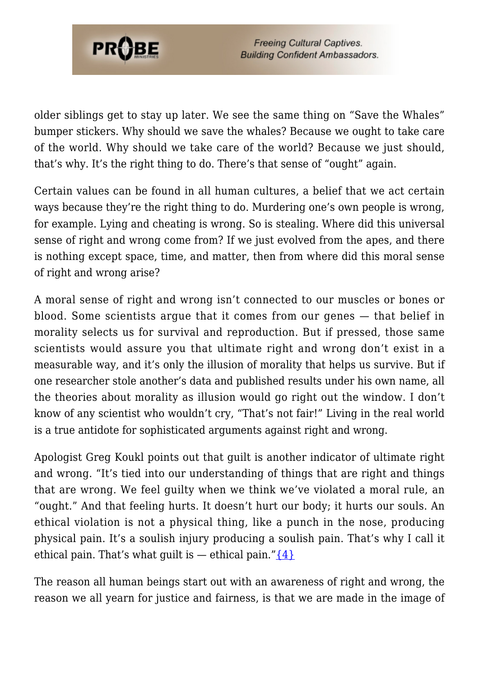

**Freeing Cultural Captives. Building Confident Ambassadors.** 

older siblings get to stay up later. We see the same thing on "Save the Whales" bumper stickers. Why should we save the whales? Because we ought to take care of the world. Why should we take care of the world? Because we just should, that's why. It's the right thing to do. There's that sense of "ought" again.

Certain values can be found in all human cultures, a belief that we act certain ways because they're the right thing to do. Murdering one's own people is wrong. for example. Lying and cheating is wrong. So is stealing. Where did this universal sense of right and wrong come from? If we just evolved from the apes, and there is nothing except space, time, and matter, then from where did this moral sense of right and wrong arise?

A moral sense of right and wrong isn't connected to our muscles or bones or blood. Some scientists argue that it comes from our genes — that belief in morality selects us for survival and reproduction. But if pressed, those same scientists would assure you that ultimate right and wrong don't exist in a measurable way, and it's only the illusion of morality that helps us survive. But if one researcher stole another's data and published results under his own name, all the theories about morality as illusion would go right out the window. I don't know of any scientist who wouldn't cry, "That's not fair!" Living in the real world is a true antidote for sophisticated arguments against right and wrong.

Apologist Greg Koukl points out that guilt is another indicator of ultimate right and wrong. "It's tied into our understanding of things that are right and things that are wrong. We feel guilty when we think we've violated a moral rule, an "ought." And that feeling hurts. It doesn't hurt our body; it hurts our souls. An ethical violation is not a physical thing, like a punch in the nose, producing physical pain. It's a soulish injury producing a soulish pain. That's why I call it ethical pain. That's what guilt is  $-$  ethical pain." $\{4\}$ 

The reason all human beings start out with an awareness of right and wrong, the reason we all yearn for justice and fairness, is that we are made in the image of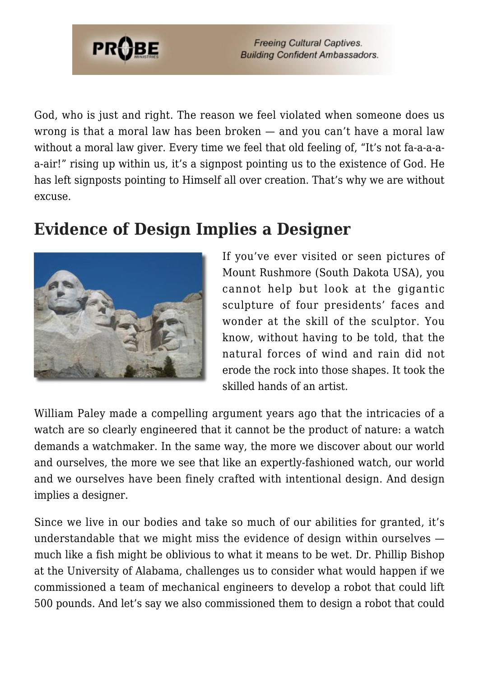

**Freeing Cultural Captives. Building Confident Ambassadors.** 

God, who is just and right. The reason we feel violated when someone does us wrong is that a moral law has been broken — and you can't have a moral law without a moral law giver. Every time we feel that old feeling of, "It's not fa-a-a-aa-air!" rising up within us, it's a signpost pointing us to the existence of God. He has left signposts pointing to Himself all over creation. That's why we are without excuse.

## **Evidence of Design Implies a Designer**



If you've ever visited or seen pictures of Mount Rushmore (South Dakota USA), you cannot help but look at the gigantic sculpture of four presidents' faces and wonder at the skill of the sculptor. You know, without having to be told, that the natural forces of wind and rain did not erode the rock into those shapes. It took the skilled hands of an artist.

William Paley made a compelling argument years ago that the intricacies of a watch are so clearly engineered that it cannot be the product of nature: a watch demands a watchmaker. In the same way, the more we discover about our world and ourselves, the more we see that like an expertly-fashioned watch, our world and we ourselves have been finely crafted with intentional design. And design implies a designer.

Since we live in our bodies and take so much of our abilities for granted, it's understandable that we might miss the evidence of design within ourselves much like a fish might be oblivious to what it means to be wet. Dr. Phillip Bishop at the University of Alabama, challenges us to consider what would happen if we commissioned a team of mechanical engineers to develop a robot that could lift 500 pounds. And let's say we also commissioned them to design a robot that could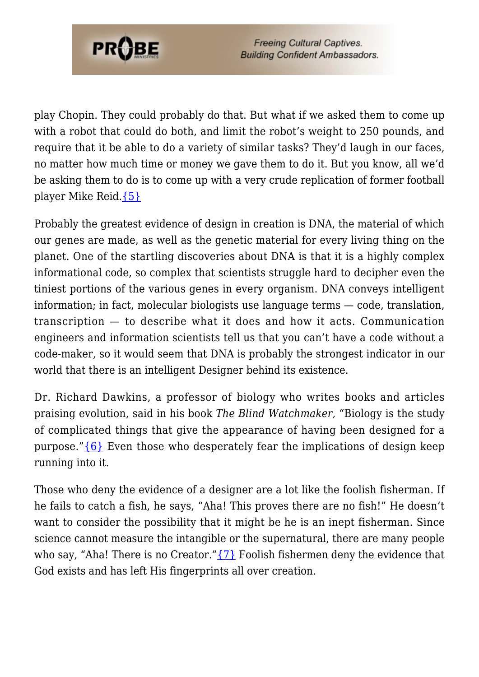

**Freeing Cultural Captives. Building Confident Ambassadors.** 

play Chopin. They could probably do that. But what if we asked them to come up with a robot that could do both, and limit the robot's weight to 250 pounds, and require that it be able to do a variety of similar tasks? They'd laugh in our faces, no matter how much time or money we gave them to do it. But you know, all we'd be asking them to do is to come up with a very crude replication of former football player Mike Reid.[{5}](#page-8-4)

Probably the greatest evidence of design in creation is DNA, the material of which our genes are made, as well as the genetic material for every living thing on the planet. One of the startling discoveries about DNA is that it is a highly complex informational code, so complex that scientists struggle hard to decipher even the tiniest portions of the various genes in every organism. DNA conveys intelligent information; in fact, molecular biologists use language terms — code, translation, transcription — to describe what it does and how it acts. Communication engineers and information scientists tell us that you can't have a code without a code-maker, so it would seem that DNA is probably the strongest indicator in our world that there is an intelligent Designer behind its existence.

Dr. Richard Dawkins, a professor of biology who writes books and articles praising evolution, said in his book *The Blind Watchmaker,* "Biology is the study of complicated things that give the appearance of having been designed for a purpose." ${6}$  Even those who desperately fear the implications of design keep running into it.

Those who deny the evidence of a designer are a lot like the foolish fisherman. If he fails to catch a fish, he says, "Aha! This proves there are no fish!" He doesn't want to consider the possibility that it might be he is an inept fisherman. Since science cannot measure the intangible or the supernatural, there are many people who say, "Aha! There is no Creator." $\{7\}$  Foolish fishermen deny the evidence that God exists and has left His fingerprints all over creation.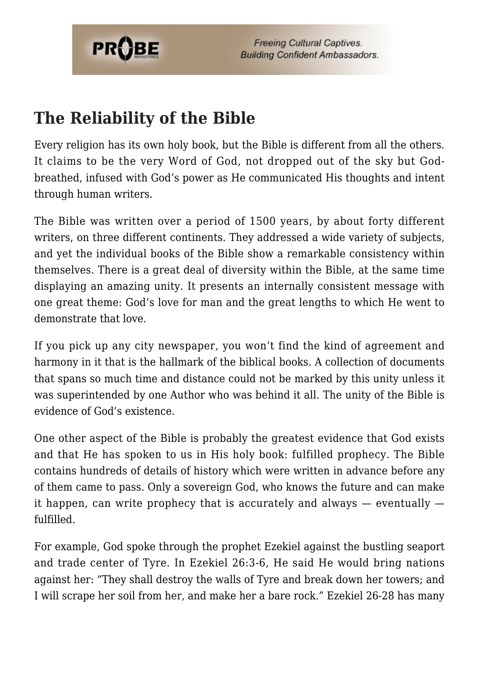

# **The Reliability of the Bible**

Every religion has its own holy book, but the Bible is different from all the others. It claims to be the very Word of God, not dropped out of the sky but Godbreathed, infused with God's power as He communicated His thoughts and intent through human writers.

The Bible was written over a period of 1500 years, by about forty different writers, on three different continents. They addressed a wide variety of subjects, and yet the individual books of the Bible show a remarkable consistency within themselves. There is a great deal of diversity within the Bible, at the same time displaying an amazing unity. It presents an internally consistent message with one great theme: God's love for man and the great lengths to which He went to demonstrate that love.

If you pick up any city newspaper, you won't find the kind of agreement and harmony in it that is the hallmark of the biblical books. A collection of documents that spans so much time and distance could not be marked by this unity unless it was superintended by one Author who was behind it all. The unity of the Bible is evidence of God's existence.

One other aspect of the Bible is probably the greatest evidence that God exists and that He has spoken to us in His holy book: fulfilled prophecy. The Bible contains hundreds of details of history which were written in advance before any of them came to pass. Only a sovereign God, who knows the future and can make it happen, can write prophecy that is accurately and always — eventually fulfilled.

For example, God spoke through the prophet Ezekiel against the bustling seaport and trade center of Tyre. In Ezekiel 26:3-6, He said He would bring nations against her: "They shall destroy the walls of Tyre and break down her towers; and I will scrape her soil from her, and make her a bare rock." Ezekiel 26-28 has many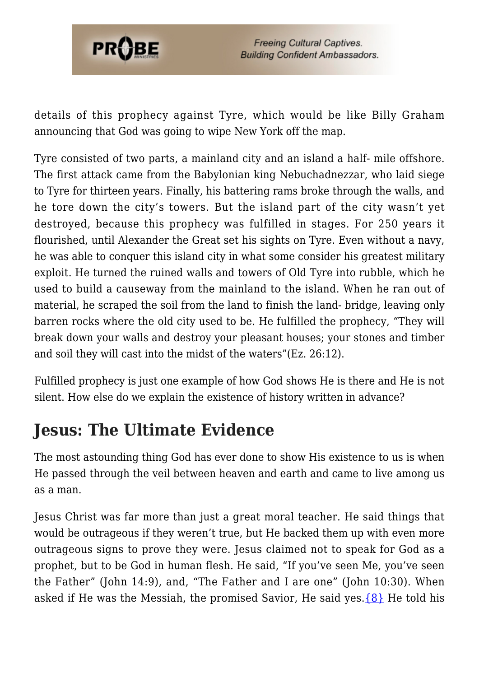

details of this prophecy against Tyre, which would be like Billy Graham announcing that God was going to wipe New York off the map.

Tyre consisted of two parts, a mainland city and an island a half- mile offshore. The first attack came from the Babylonian king Nebuchadnezzar, who laid siege to Tyre for thirteen years. Finally, his battering rams broke through the walls, and he tore down the city's towers. But the island part of the city wasn't yet destroyed, because this prophecy was fulfilled in stages. For 250 years it flourished, until Alexander the Great set his sights on Tyre. Even without a navy, he was able to conquer this island city in what some consider his greatest military exploit. He turned the ruined walls and towers of Old Tyre into rubble, which he used to build a causeway from the mainland to the island. When he ran out of material, he scraped the soil from the land to finish the land- bridge, leaving only barren rocks where the old city used to be. He fulfilled the prophecy, "They will break down your walls and destroy your pleasant houses; your stones and timber and soil they will cast into the midst of the waters"(Ez. 26:12).

Fulfilled prophecy is just one example of how God shows He is there and He is not silent. How else do we explain the existence of history written in advance?

# **Jesus: The Ultimate Evidence**

The most astounding thing God has ever done to show His existence to us is when He passed through the veil between heaven and earth and came to live among us as a man.

Jesus Christ was far more than just a great moral teacher. He said things that would be outrageous if they weren't true, but He backed them up with even more outrageous signs to prove they were. Jesus claimed not to speak for God as a prophet, but to be God in human flesh. He said, "If you've seen Me, you've seen the Father" (John 14:9), and, "The Father and I are one" (John 10:30). When asked if He was the Messiah, the promised Savior, He said yes.  $\{8\}$  He told his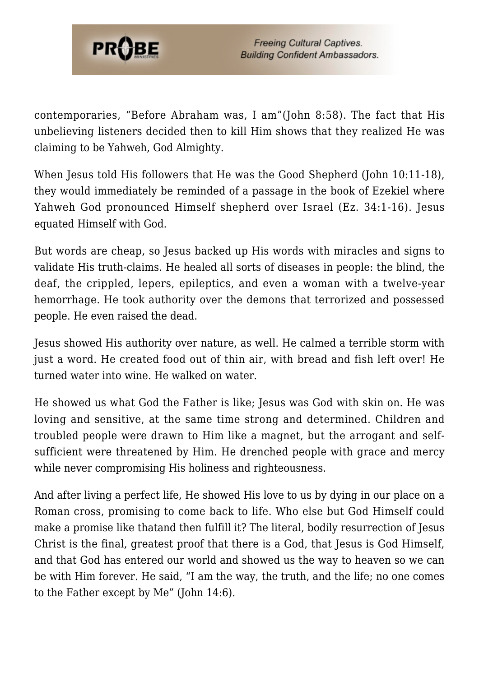

contemporaries, "Before Abraham was, I am"(John 8:58). The fact that His unbelieving listeners decided then to kill Him shows that they realized He was claiming to be Yahweh, God Almighty.

When Jesus told His followers that He was the Good Shepherd (John 10:11-18), they would immediately be reminded of a passage in the book of Ezekiel where Yahweh God pronounced Himself shepherd over Israel (Ez. 34:1-16). Jesus equated Himself with God.

But words are cheap, so Jesus backed up His words with miracles and signs to validate His truth-claims. He healed all sorts of diseases in people: the blind, the deaf, the crippled, lepers, epileptics, and even a woman with a twelve-year hemorrhage. He took authority over the demons that terrorized and possessed people. He even raised the dead.

Jesus showed His authority over nature, as well. He calmed a terrible storm with just a word. He created food out of thin air, with bread and fish left over! He turned water into wine. He walked on water.

He showed us what God the Father is like; Jesus was God with skin on. He was loving and sensitive, at the same time strong and determined. Children and troubled people were drawn to Him like a magnet, but the arrogant and selfsufficient were threatened by Him. He drenched people with grace and mercy while never compromising His holiness and righteousness.

And after living a perfect life, He showed His love to us by dying in our place on a Roman cross, promising to come back to life. Who else but God Himself could make a promise like thatand then fulfill it? The literal, bodily resurrection of Jesus Christ is the final, greatest proof that there is a God, that Jesus is God Himself, and that God has entered our world and showed us the way to heaven so we can be with Him forever. He said, "I am the way, the truth, and the life; no one comes to the Father except by Me" (John 14:6).